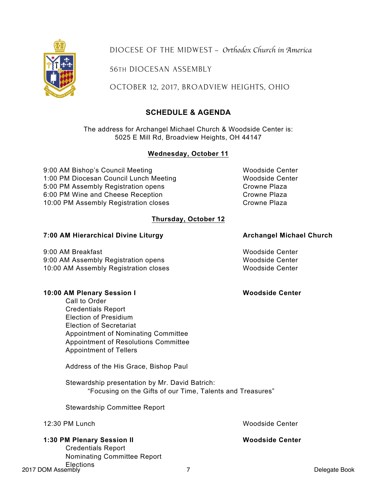Credentials Report Nominating Committee Report Elections

DIOCESE OF THE MIDWEST – *Orthodox Church in America*

56TH DIOCESAN ASSEMBLY

OCTOBER 12, 2017, BROADVIEW HEIGHTS, OHIO

# **SCHEDULE & AGENDA**

The address for Archangel Michael Church & Woodside Center is: 5025 E Mill Rd, Broadview Heights, OH 44147

### **Wednesday, October 11**

9:00 AM Bishop's Council Meeting Woodside Center 1:00 PM Diocesan Council Lunch Meeting Woodside Center 5:00 PM Assembly Registration opens Crowne Plaza 6:00 PM Wine and Cheese Reception Crowne Plaza 10:00 PM Assembly Registration closes Crowne Plaza

# **Thursday, October 12**

## **7:00 AM Hierarchical Divine Liturgy Archangel Michael Church**

9:00 AM Breakfast Woodside Center 9:00 AM Assembly Registration opens Woodside Center 10:00 AM Assembly Registration closes Woodside Center

### **10:00 AM Plenary Session I Woodside Center**

Call to Order Credentials Report Election of Presidium Election of Secretariat Appointment of Nominating Committee Appointment of Resolutions Committee Appointment of Tellers

Address of the His Grace, Bishop Paul

Stewardship presentation by Mr. David Batrich: "Focusing on the Gifts of our Time, Talents and Treasures"

Stewardship Committee Report

|  |  | 12:30 PM Lunch |
|--|--|----------------|
|--|--|----------------|

**1:30 PM Plenary Session II Woodside Center**

Woodside Center